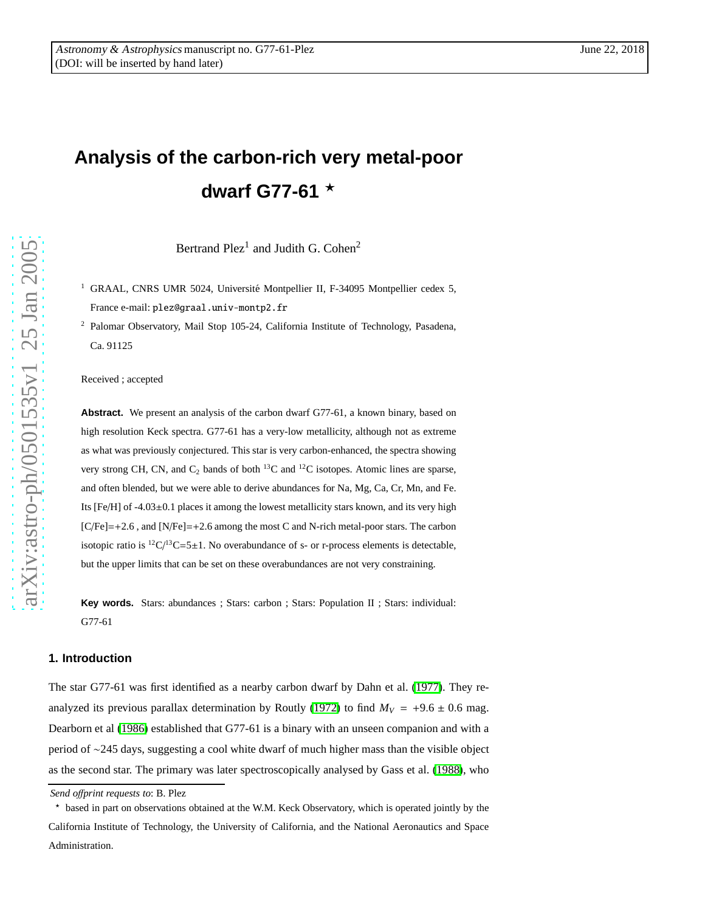# **Analysis of the carbon-rich very metal-poor dwarf G77-61** ⋆

Bertrand Plez<sup>1</sup> and Judith G. Cohen<sup>2</sup>

- <sup>1</sup> GRAAL, CNRS UMR 5024, Université Montpellier II, F-34095 Montpellier cedex 5, France e-mail: plez@graal.univ-montp2.fr
- <sup>2</sup> Palomar Observatory, Mail Stop 105-24, California Institute of Technology, Pasadena, Ca. 91125

Received ; accepted

Abstract. We present an analysis of the carbon dwarf G77-61, a known binary, based on high resolution Keck spectra. G77-61 has a very-low metallicity, although not as extreme as what was previously conjectured. This star is very carbon-enhanced, the spectra showing very strong CH, CN, and  $C_2$  bands of both <sup>13</sup>C and <sup>12</sup>C isotopes. Atomic lines are sparse, and often blended, but we were able to derive abundances for Na, Mg, Ca, Cr, Mn, and Fe. Its [Fe/H] of -4.03 ±0.1 places it among the lowest metallicity stars known, and its very high  $[C/Fe]=+2.6$ , and  $[N/Fe]=+2.6$  among the most C and N-rich metal-poor stars. The carbon isotopic ratio is  ${}^{12}C/{}^{13}C = 5 \pm 1$ . No overabundance of s- or r-process elements is detectable, but the upper limits that can be set on these overabundances are not very constraining.

**Key words.** Stars: abundances ; Stars: carbon ; Stars: Population II ; Stars: individual: G77-61

# <span id="page-0-0"></span>**1. Introduction**

The star G77-61 was first identified as a nearby carbon dwarf by Dahn et al. [\(1977\)](#page-15-0). They re-analyzed its previous parallax determination by Routly [\(1972\)](#page-15-1) to find  $M_V = +9.6 \pm 0.6$  mag. Dearborn et al [\(1986\)](#page-15-2) established that G77-61 is a binary with an unseen companion and with a period of ∼245 days, suggesting a cool white dwarf of much higher mass than the visible object as the second star. The primary was later spectroscopically analysed by Gass et al. [\(1988\)](#page-15-3), who

*Send o*ff*print requests to*: B. Plez

<sup>⋆</sup> based in part on observations obtained at the W.M. Keck Observatory, which is operated jointly by the California Institute of Technology, the University of California, and the National Aeronautics and Space Administration.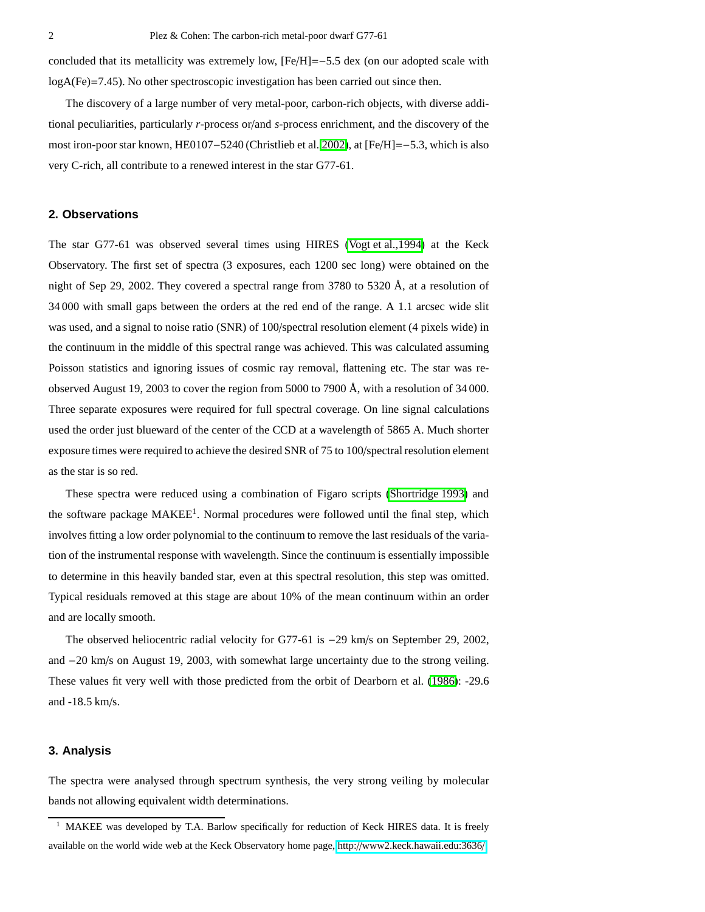concluded that its metallicity was extremely low, [Fe/H]=−5.5 dex (on our adopted scale with logA(Fe)=7.45). No other spectroscopic investigation has been carried out since then.

The discovery of a large number of very metal-poor, carbon-rich objects, with diverse additional peculiarities, particularly *r*-process or/and *s*-process enrichment, and the discovery of the most iron-poor star known, HE0107−5240 (Christlieb et al. [2002\)](#page-15-4), at [Fe/H]=−5.3, which is also very C-rich, all contribute to a renewed interest in the star G77-61.

## **2. Observations**

The star G77-61 was observed several times using HIRES (Vogt [et al.,1994\)](#page-16-0) at the Keck Observatory. The first set of spectra (3 exposures, each 1200 sec long) were obtained on the night of Sep 29, 2002. They covered a spectral range from 3780 to 5320 Å, at a resolution of 34 000 with small gaps between the orders at the red end of the range. A 1.1 arcsec wide slit was used, and a signal to noise ratio (SNR) of 100/spectral resolution element (4 pixels wide) in the continuum in the middle of this spectral range was achieved. This was calculated assuming Poisson statistics and ignoring issues of cosmic ray removal, flattening etc. The star was reobserved August 19, 2003 to cover the region from 5000 to 7900 Å, with a resolution of 34 000. Three separate exposures were required for full spectral coverage. On line signal calculations used the order just blueward of the center of the CCD at a wavelength of 5865 A. Much shorter exposure times were required to achieve the desired SNR of 75 to 100/spectral resolution element as the star is so red.

These spectra were reduced using a combination of Figaro scripts [\(Shortridge 1993\)](#page-15-5) and the software package MAKEE<sup>1</sup>. Normal procedures were followed until the final step, which involves fitting a low order polynomial to the continuum to remove the last residuals of the variation of the instrumental response with wavelength. Since the continuum is essentially impossible to determine in this heavily banded star, even at this spectral resolution, this step was omitted. Typical residuals removed at this stage are about 10% of the mean continuum within an order and are locally smooth.

The observed heliocentric radial velocity for G77-61 is −29 km/s on September 29, 2002, and −20 km/s on August 19, 2003, with somewhat large uncertainty due to the strong veiling. These values fit very well with those predicted from the orbit of Dearborn et al. [\(1986\)](#page-15-2): -29.6 and -18.5 km/s.

### **3. Analysis**

The spectra were analysed through spectrum synthesis, the very strong veiling by molecular bands not allowing equivalent width determinations.

<sup>&</sup>lt;sup>1</sup> MAKEE was developed by T.A. Barlow specifically for reduction of Keck HIRES data. It is freely available on the world wide web at the Keck Observatory home page, http://[www2.keck.hawaii.edu:3636](http://www2.keck.hawaii.edu:3636/)/.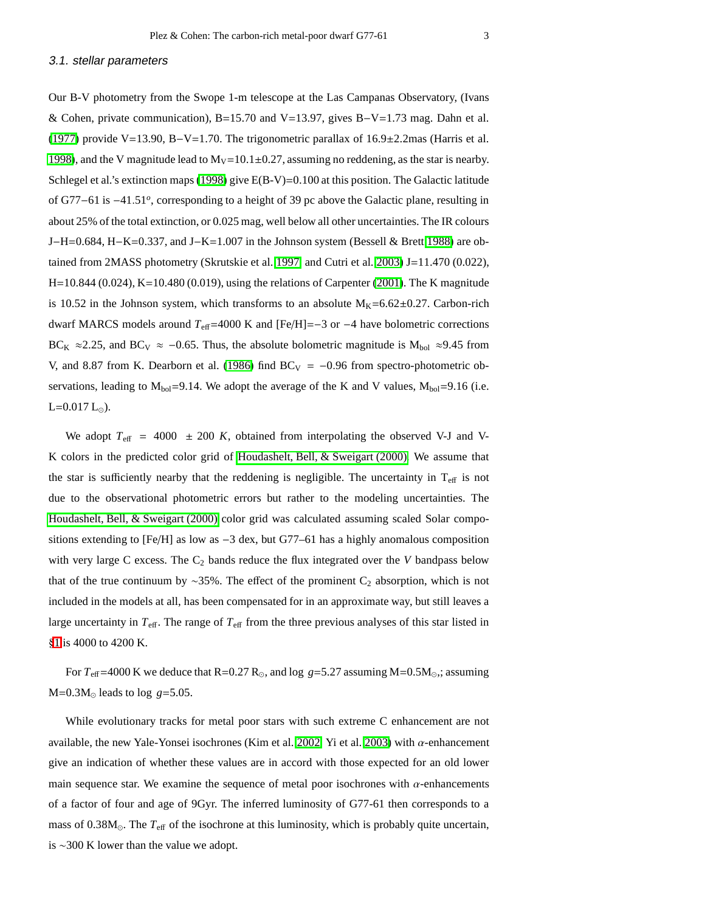Our B-V photometry from the Swope 1-m telescope at the Las Campanas Observatory, (Ivans & Cohen, private communication), B=15.70 and V=13.97, gives B−V=1.73 mag. Dahn et al. [\(1977\)](#page-15-0) provide V=13.90, B−V=1.70. The trigonometric parallax of 16.9±2.2mas (Harris et al. [1998\)](#page-15-6), and the V magnitude lead to  $M_V=10.1\pm0.27$ , assuming no reddening, as the star is nearby. Schlegel et al.'s extinction maps [\(1998\)](#page-15-7) give E(B-V)=0.100 at this position. The Galactic latitude of G77−61 is −41.51*<sup>o</sup>* , corresponding to a height of 39 pc above the Galactic plane, resulting in about 25% of the total extinction, or 0.025 mag, well below all other uncertainties. The IR colours J−H=0.684, H−K=0.337, and J−K=1.007 in the Johnson system (Bessell & Brett [1988\)](#page-14-0) are obtained from 2MASS photometry (Skrutskie et al. [1997,](#page-16-1) and Cutri et al. [2003\)](#page-15-8) J=11.470 (0.022), H=10.844 (0.024), K=10.480 (0.019), using the relations of Carpenter [\(2001\)](#page-15-9). The K magnitude is 10.52 in the Johnson system, which transforms to an absolute  $M_K=6.62\pm0.27$ . Carbon-rich dwarf MARCS models around *T*eff=4000 K and [Fe/H]=−3 or −4 have bolometric corrections BC<sub>K</sub>  $\approx$  2.25, and BC<sub>V</sub>  $\approx$  -0.65. Thus, the absolute bolometric magnitude is M<sub>bol</sub>  $\approx$  9.45 from V, and 8.87 from K. Dearborn et al. [\(1986\)](#page-15-2) find  $BC_V = -0.96$  from spectro-photometric observations, leading to  $M_{bol}$ =9.14. We adopt the average of the K and V values,  $M_{bol}$ =9.16 (i.e.  $L=0.017 L_{\odot}$ ).

We adopt  $T_{\text{eff}}$  = 4000  $\pm$  200 K, obtained from interpolating the observed V-J and V-K colors in the predicted color grid of [Houdashelt, Bell, & Sweigart \(2000\).](#page-15-10) We assume that the star is sufficiently nearby that the reddening is negligible. The uncertainty in  $T_{\text{eff}}$  is not due to the observational photometric errors but rather to the modeling uncertainties. The [Houdashelt, Bell, & Sweigart \(2000\)](#page-15-10) color grid was calculated assuming scaled Solar compositions extending to  $[Fe/H]$  as low as  $-3$  dex, but G77–61 has a highly anomalous composition with very large C excess. The  $C_2$  bands reduce the flux integrated over the *V* bandpass below that of the true continuum by ∼35%. The effect of the prominent  $C_2$  absorption, which is not included in the models at all, has been compensated for in an approximate way, but still leaves a large uncertainty in  $T_{\text{eff}}$ . The range of  $T_{\text{eff}}$  from the three previous analyses of this star listed in §[1](#page-0-0) is 4000 to 4200 K.

For  $T_{\text{eff}}$ =4000 K we deduce that R=0.27 R<sub>☉</sub>, and log *g*=5.27 assuming M=0.5M<sub>☉</sub>,; assuming  $M=0.3M_{\odot}$  leads to log  $g=5.05$ .

While evolutionary tracks for metal poor stars with such extreme C enhancement are not available, the new Yale-Yonsei isochrones (Kim et al. [2002,](#page-15-11) Yi et al. [2003\)](#page-16-2) with  $\alpha$ -enhancement give an indication of whether these values are in accord with those expected for an old lower main sequence star. We examine the sequence of metal poor isochrones with  $\alpha$ -enhancements of a factor of four and age of 9Gyr. The inferred luminosity of G77-61 then corresponds to a mass of 0.38M⊙. The *T*eff of the isochrone at this luminosity, which is probably quite uncertain, is ∼300 K lower than the value we adopt.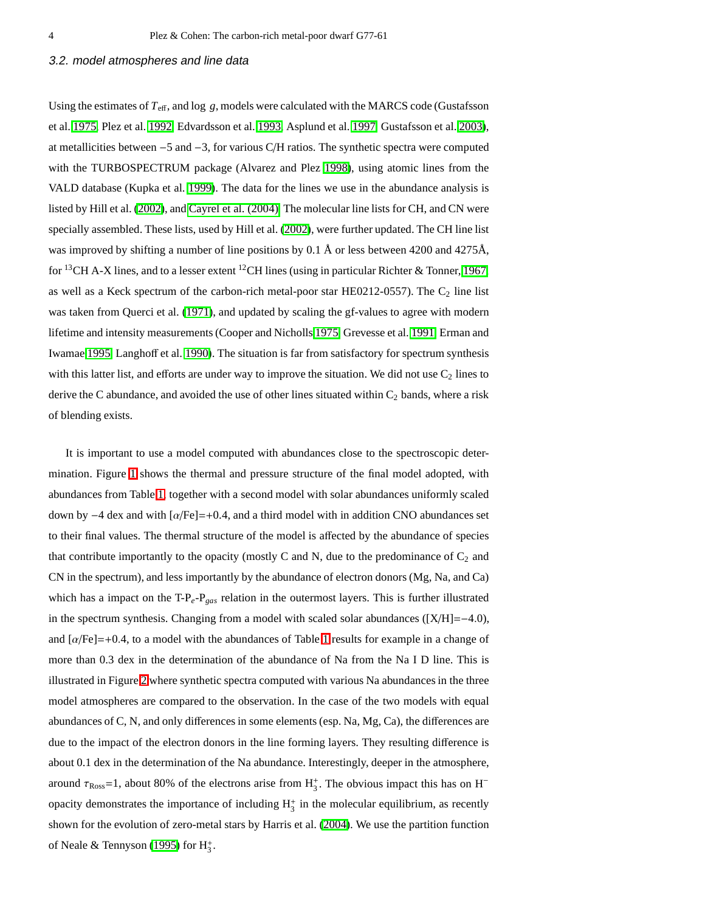#### 3.2. model atmospheres and line data

Using the estimates of *T*eff, and log *g*, models were calculated with the MARCS code (Gustafsson et al. [1975,](#page-15-12) Plez et al. [1992,](#page-15-13) Edvardsson et al. [1993,](#page-15-14) Asplund et al. [1997,](#page-14-1) Gustafsson et al. [2003\)](#page-15-15), at metallicities between −5 and −3, for various C/H ratios. The synthetic spectra were computed with the TURBOSPECTRUM package (Alvarez and Plez [1998\)](#page-14-2), using atomic lines from the VALD database (Kupka et al. [1999\)](#page-15-16). The data for the lines we use in the abundance analysis is listed by Hill et al. [\(2002\)](#page-15-17), and [Cayrel et al. \(2004\).](#page-15-18) The molecular line lists for CH, and CN were specially assembled. These lists, used by Hill et al. [\(2002\)](#page-15-17), were further updated. The CH line list was improved by shifting a number of line positions by 0.1 Å or less between 4200 and 4275Å, for <sup>13</sup>CH A-X lines, and to a lesser extent <sup>12</sup>CH lines (using in particular Richter & Tonner, [1967,](#page-15-19) as well as a Keck spectrum of the carbon-rich metal-poor star HE0212-0557). The  $C_2$  line list was taken from Querci et al. [\(1971\)](#page-15-20), and updated by scaling the gf-values to agree with modern lifetime and intensity measurements (Cooper and Nicholls [1975,](#page-15-21) Grevesse et al. [1991,](#page-15-22) Erman and Iwamae [1995,](#page-15-23) Langhoff et al. [1990\)](#page-15-24). The situation is far from satisfactory for spectrum synthesis with this latter list, and efforts are under way to improve the situation. We did not use  $C_2$  lines to derive the C abundance, and avoided the use of other lines situated within  $C_2$  bands, where a risk of blending exists.

It is important to use a model computed with abundances close to the spectroscopic determination. Figure [1](#page-4-0) shows the thermal and pressure structure of the final model adopted, with abundances from Table [1,](#page-9-0) together with a second model with solar abundances uniformly scaled down by −4 dex and with  $\alpha$ /Fe]=+0.4, and a third model with in addition CNO abundances set to their final values. The thermal structure of the model is affected by the abundance of species that contribute importantly to the opacity (mostly C and N, due to the predominance of  $C_2$  and CN in the spectrum), and less importantly by the abundance of electron donors (Mg, Na, and Ca) which has a impact on the T-P*e*-P*gas* relation in the outermost layers. This is further illustrated in the spectrum synthesis. Changing from a model with scaled solar abundances ([X/H]=−4.0), and  $\left[\alpha/\text{Fe}\right]=+0.4$ , to a model with the abundances of Table [1](#page-9-0) results for example in a change of more than 0.3 dex in the determination of the abundance of Na from the Na I D line. This is illustrated in Figure [2](#page-5-0) where synthetic spectra computed with various Na abundances in the three model atmospheres are compared to the observation. In the case of the two models with equal abundances of C, N, and only differences in some elements (esp. Na, Mg, Ca), the differences are due to the impact of the electron donors in the line forming layers. They resulting difference is about 0.1 dex in the determination of the Na abundance. Interestingly, deeper in the atmosphere, around  $\tau_{\rm Ross}$ =1, about 80% of the electrons arise from  $H_3^+$ . The obvious impact this has on H<sup>-</sup> opacity demonstrates the importance of including  $H_3^+$  in the molecular equilibrium, as recently shown for the evolution of zero-metal stars by Harris et al. [\(2004\)](#page-15-25). We use the partition function of Neale & Tennyson [\(1995\)](#page-15-26) for  $H_3^+$ .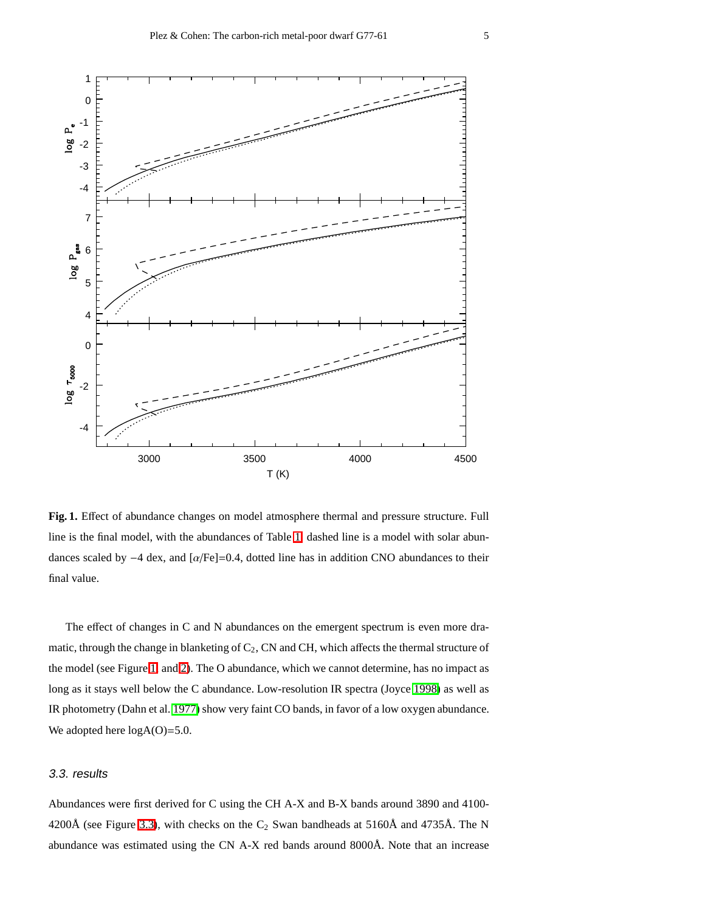

<span id="page-4-0"></span>**Fig. 1.** Effect of abundance changes on model atmosphere thermal and pressure structure. Full line is the final model, with the abundances of Table [1,](#page-9-0) dashed line is a model with solar abundances scaled by −4 dex, and [α/Fe]=0.4, dotted line has in addition CNO abundances to their final value.

The effect of changes in C and N abundances on the emergent spectrum is even more dramatic, through the change in blanketing of  $C_2$ , CN and CH, which affects the thermal structure of the model (see Figure [1,](#page-4-0) and [2\)](#page-5-0). The O abundance, which we cannot determine, has no impact as long as it stays well below the C abundance. Low-resolution IR spectra (Joyce [1998\)](#page-15-27) as well as IR photometry (Dahn et al. [1977\)](#page-15-0) show very faint CO bands, in favor of a low oxygen abundance. We adopted here  $log A(O)=5.0$ .

## <span id="page-4-1"></span>3.3. results

Abundances were first derived for C using the CH A-X and B-X bands around 3890 and 4100- 4200Å (see Figure [3.3\)](#page-4-1), with checks on the  $C_2$  Swan bandheads at 5160Å and 4735Å. The N abundance was estimated using the CN A-X red bands around 8000Å. Note that an increase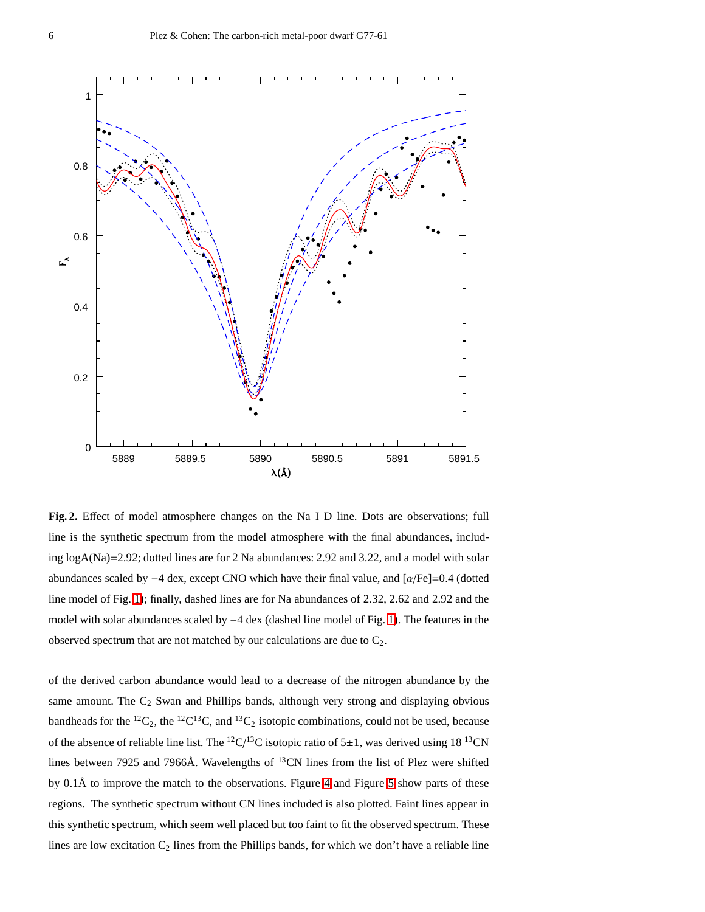

<span id="page-5-0"></span>**Fig. 2.** Effect of model atmosphere changes on the Na I D line. Dots are observations; full line is the synthetic spectrum from the model atmosphere with the final abundances, including logA(Na)=2.92; dotted lines are for 2 Na abundances: 2.92 and 3.22, and a model with solar abundances scaled by −4 dex, except CNO which have their final value, and [α/Fe]=0.4 (dotted line model of Fig. [1\)](#page-4-0); finally, dashed lines are for Na abundances of 2.32, 2.62 and 2.92 and the model with solar abundances scaled by −4 dex (dashed line model of Fig. [1\)](#page-4-0). The features in the observed spectrum that are not matched by our calculations are due to  $C_2$ .

of the derived carbon abundance would lead to a decrease of the nitrogen abundance by the same amount. The  $C_2$  Swan and Phillips bands, although very strong and displaying obvious bandheads for the <sup>12</sup>C<sub>2</sub>, the <sup>12</sup>C<sup>13</sup>C, and <sup>13</sup>C<sub>2</sub> isotopic combinations, could not be used, because of the absence of reliable line list. The  ${}^{12}C/{}^{13}C$  isotopic ratio of 5 $\pm$ 1, was derived using 18  ${}^{13}CN$ lines between 7925 and 7966Å. Wavelengths of <sup>13</sup>CN lines from the list of Plez were shifted by 0.1Å to improve the match to the observations. Figure [4](#page-7-0) and Figure [5](#page-8-0) show parts of these regions. The synthetic spectrum without CN lines included is also plotted. Faint lines appear in this synthetic spectrum, which seem well placed but too faint to fit the observed spectrum. These lines are low excitation  $C_2$  lines from the Phillips bands, for which we don't have a reliable line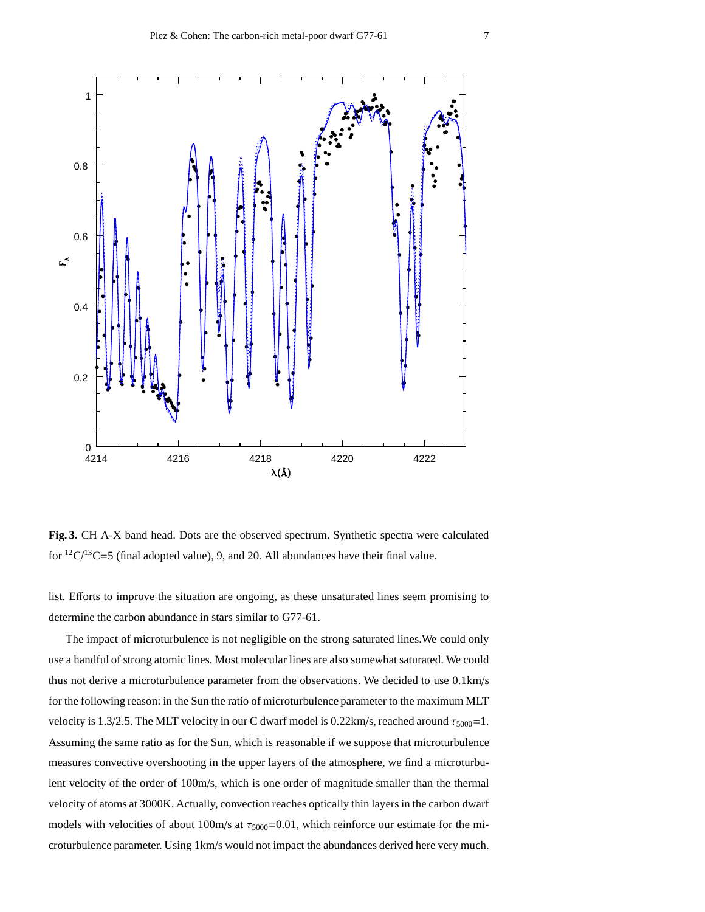

**Fig. 3.** CH A-X band head. Dots are the observed spectrum. Synthetic spectra were calculated for  ${}^{12}C/{}^{13}C=5$  (final adopted value), 9, and 20. All abundances have their final value.

list. Efforts to improve the situation are ongoing, as these unsaturated lines seem promising to determine the carbon abundance in stars similar to G77-61.

The impact of microturbulence is not negligible on the strong saturated lines.We could only use a handful of strong atomic lines. Most molecular lines are also somewhat saturated. We could thus not derive a microturbulence parameter from the observations. We decided to use 0.1km/s for the following reason: in the Sun the ratio of microturbulence parameter to the maximum MLT velocity is 1.3/2.5. The MLT velocity in our C dwarf model is 0.22km/s, reached around  $\tau_{5000}$ =1. Assuming the same ratio as for the Sun, which is reasonable if we suppose that microturbulence measures convective overshooting in the upper layers of the atmosphere, we find a microturbulent velocity of the order of 100m/s, which is one order of magnitude smaller than the thermal velocity of atoms at 3000K. Actually, convection reaches optically thin layers in the carbon dwarf models with velocities of about 100m/s at  $\tau_{5000}$ =0.01, which reinforce our estimate for the microturbulence parameter. Using 1km/s would not impact the abundances derived here very much.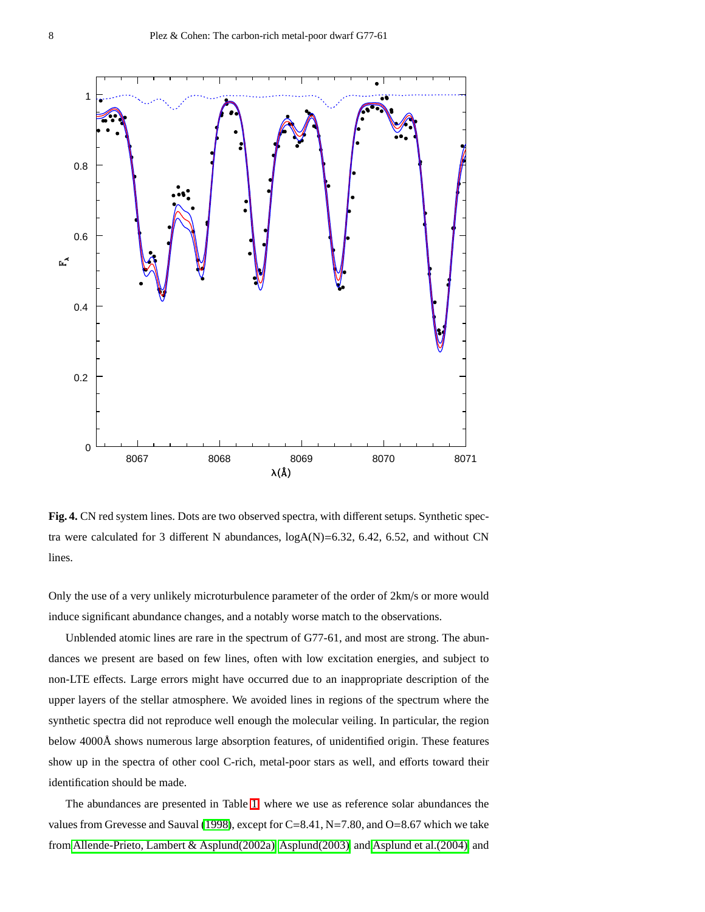

<span id="page-7-0"></span>**Fig. 4.** CN red system lines. Dots are two observed spectra, with different setups. Synthetic spectra were calculated for 3 different N abundances, logA(N)=6.32, 6.42, 6.52, and without CN lines.

Only the use of a very unlikely microturbulence parameter of the order of 2km/s or more would induce significant abundance changes, and a notably worse match to the observations.

Unblended atomic lines are rare in the spectrum of G77-61, and most are strong. The abundances we present are based on few lines, often with low excitation energies, and subject to non-LTE effects. Large errors might have occurred due to an inappropriate description of the upper layers of the stellar atmosphere. We avoided lines in regions of the spectrum where the synthetic spectra did not reproduce well enough the molecular veiling. In particular, the region below 4000Å shows numerous large absorption features, of unidentified origin. These features show up in the spectra of other cool C-rich, metal-poor stars as well, and efforts toward their identification should be made.

The abundances are presented in Table [1,](#page-9-0) where we use as reference solar abundances the values from Grevesse and Sauval [\(1998\)](#page-15-28), except for C=8.41, N=7.80, and O=8.67 which we take from [Allende-Prieto, Lambert & Asplund\(2002a\),](#page-14-3) [Asplund\(2003\),](#page-14-4) and [Asplund et al.\(2004\),](#page-14-5) and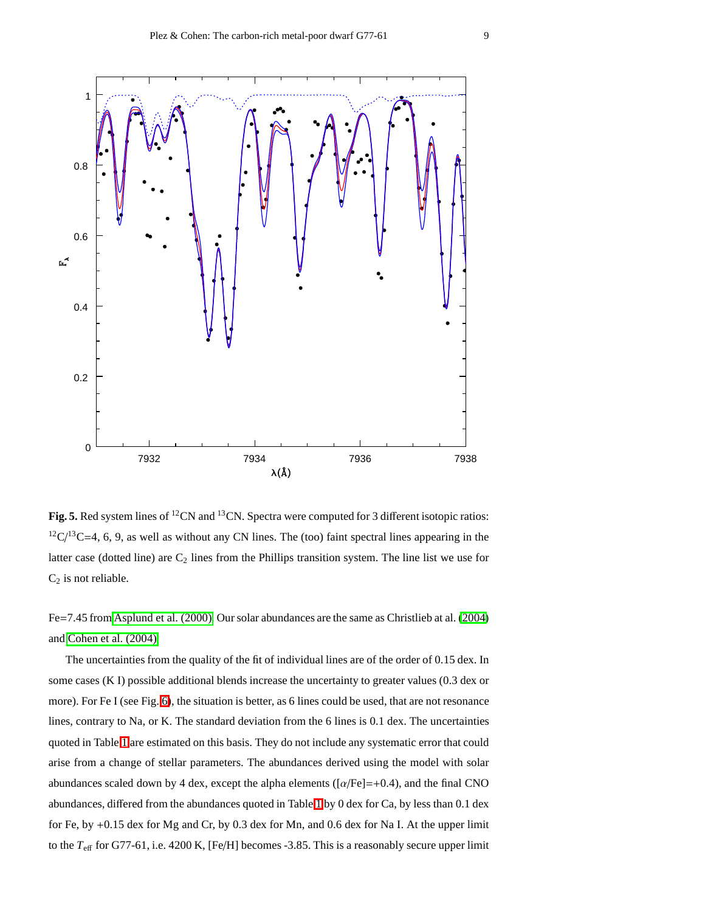

<span id="page-8-0"></span>Fig. 5. Red system lines of <sup>12</sup>CN and <sup>13</sup>CN. Spectra were computed for 3 different isotopic ratios:  $12C/13C=4$ , 6, 9, as well as without any CN lines. The (too) faint spectral lines appearing in the latter case (dotted line) are  $C_2$  lines from the Phillips transition system. The line list we use for  $C_2$  is not reliable.

Fe=7.45 from [Asplund et al. \(2000\).](#page-14-6) Our solar abundances are the same as Christlieb at al. [\(2004\)](#page-15-29) and [Cohen et al. \(2004\).](#page-15-30)

The uncertainties from the quality of the fit of individual lines are of the order of 0.15 dex. In some cases (K I) possible additional blends increase the uncertainty to greater values (0.3 dex or more). For Fe I (see Fig. [6\)](#page-10-0), the situation is better, as 6 lines could be used, that are not resonance lines, contrary to Na, or K. The standard deviation from the 6 lines is 0.1 dex. The uncertainties quoted in Table [1](#page-9-0) are estimated on this basis. They do not include any systematic error that could arise from a change of stellar parameters. The abundances derived using the model with solar abundances scaled down by 4 dex, except the alpha elements ( $\left[\alpha/Fe\right]=+0.4$ ), and the final CNO abundances, differed from the abundances quoted in Table [1](#page-9-0) by 0 dex for Ca, by less than 0.1 dex for Fe, by +0.15 dex for Mg and Cr, by 0.3 dex for Mn, and 0.6 dex for Na I. At the upper limit to the  $T_{\text{eff}}$  for G77-61, i.e. 4200 K, [Fe/H] becomes -3.85. This is a reasonably secure upper limit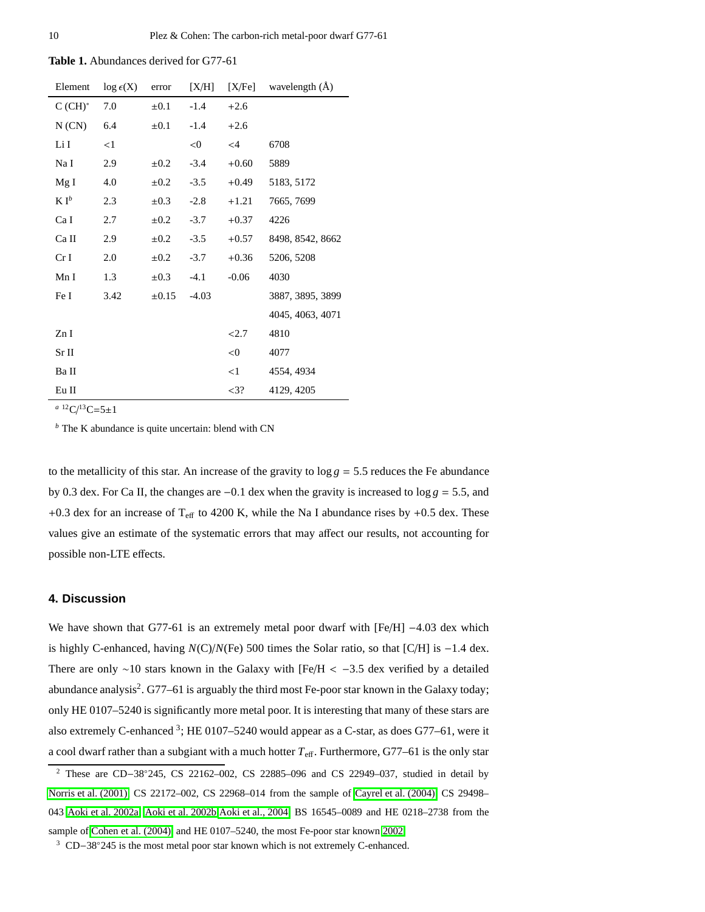<span id="page-9-0"></span>**Table 1.** Abundances derived for G77-61

| $\log \epsilon(X)$ | error      | [X/H]   | [X/Fe]   | wavelength $(A)$ |  |
|--------------------|------------|---------|----------|------------------|--|
| 7.0                | $\pm 0.1$  | $-1.4$  | $+2.6$   |                  |  |
| 6.4                | $\pm 0.1$  | $-1.4$  | $+2.6$   |                  |  |
| <1                 |            | < 0     | $\leq$ 4 | 6708             |  |
| 2.9                | $\pm 0.2$  | $-3.4$  | $+0.60$  | 5889             |  |
| 4.0                | $\pm 0.2$  | $-3.5$  | $+0.49$  | 5183, 5172       |  |
| 2.3                | $\pm 0.3$  | $-2.8$  | $+1.21$  | 7665, 7699       |  |
| 2.7                | $\pm 0.2$  | $-3.7$  | $+0.37$  | 4226             |  |
| 2.9                | $\pm 0.2$  | $-3.5$  | $+0.57$  | 8498, 8542, 8662 |  |
| 2.0                | $\pm 0.2$  | $-3.7$  | $+0.36$  | 5206, 5208       |  |
| 1.3                | $\pm 0.3$  | $-4.1$  | $-0.06$  | 4030             |  |
| 3.42               | $\pm 0.15$ | $-4.03$ |          | 3887, 3895, 3899 |  |
|                    |            |         |          | 4045, 4063, 4071 |  |
|                    |            |         | < 2.7    | 4810             |  |
|                    |            |         | < 0      | 4077             |  |
|                    |            |         | <1       | 4554, 4934       |  |
|                    |            |         | $<$ 3?   | 4129, 4205       |  |
|                    |            |         |          |                  |  |

 $a^{-12}C/{}^{13}C=5\pm1$ 

*<sup>b</sup>* The K abundance is quite uncertain: blend with CN

to the metallicity of this star. An increase of the gravity to  $\log g = 5.5$  reduces the Fe abundance by 0.3 dex. For Ca II, the changes are −0.1 dex when the gravity is increased to log *g* = 5.5, and +0.3 dex for an increase of  $T_{\text{eff}}$  to 4200 K, while the Na I abundance rises by +0.5 dex. These values give an estimate of the systematic errors that may affect our results, not accounting for possible non-LTE effects.

## <span id="page-9-1"></span>**4. Discussion**

We have shown that G77-61 is an extremely metal poor dwarf with [Fe/H] −4.03 dex which is highly C-enhanced, having *N*(C)/*N*(Fe) 500 times the Solar ratio, so that [C/H] is −1.4 dex. There are only ∼10 stars known in the Galaxy with [Fe/H < −3.5 dex verified by a detailed abundance analysis<sup>2</sup>. G77–61 is arguably the third most Fe-poor star known in the Galaxy today; only HE 0107–5240 is significantly more metal poor. It is interesting that many of these stars are also extremely C-enhanced <sup>3</sup>; HE 0107–5240 would appear as a C-star, as does G77–61, were it a cool dwarf rather than a subgiant with a much hotter *T*eff. Furthermore, G77–61 is the only star

<sup>2</sup> These are CD−38◦245, CS 22162–002, CS 22885–096 and CS 22949–037, studied in detail by [Norris et al. \(2001\),](#page-15-31) CS 22172–002, CS 22968–014 from the sample of [Cayrel et al. \(2004\),](#page-15-18) CS 29498– 043 [Aoki et al. 2002a,](#page-14-7) [Aoki et al. 2002b,](#page-14-8)[Aoki et al., 2004,](#page-14-9) BS 16545–0089 and HE 0218–2738 from the sample of [Cohen et al. \(2004\),](#page-15-30) and HE 0107–5240, the most Fe-poor star known [2002.](#page-15-4)

<sup>&</sup>lt;sup>3</sup> CD−38°245 is the most metal poor star known which is not extremely C-enhanced.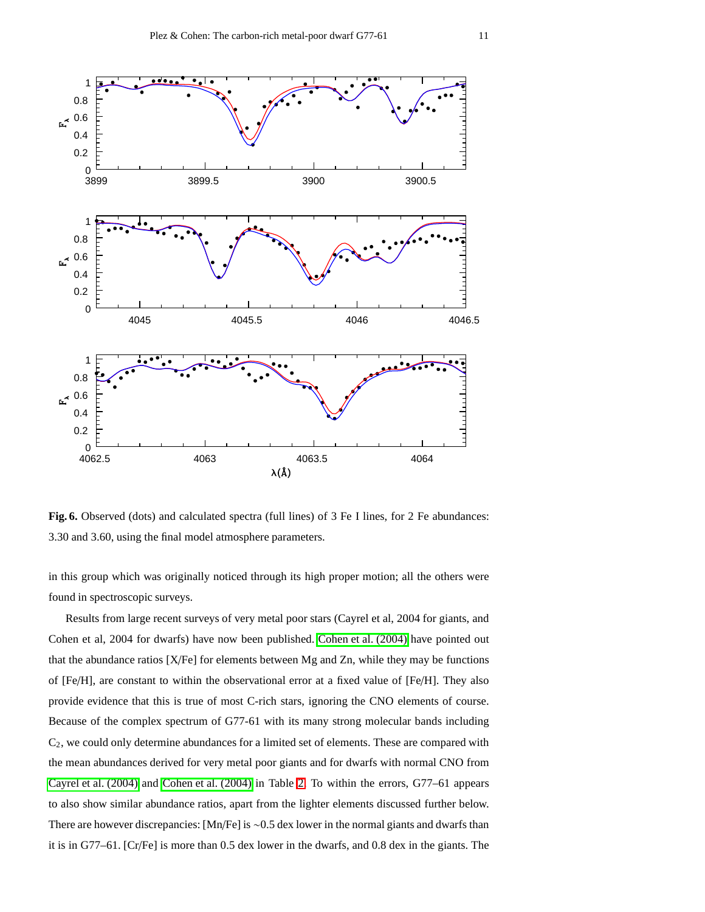

<span id="page-10-0"></span>**Fig. 6.** Observed (dots) and calculated spectra (full lines) of 3 Fe I lines, for 2 Fe abundances: 3.30 and 3.60, using the final model atmosphere parameters.

in this group which was originally noticed through its high proper motion; all the others were found in spectroscopic surveys.

Results from large recent surveys of very metal poor stars (Cayrel et al, 2004 for giants, and Cohen et al, 2004 for dwarfs) have now been published. [Cohen et al. \(2004\)](#page-15-30) have pointed out that the abundance ratios [X/Fe] for elements between Mg and Zn, while they may be functions of [Fe/H], are constant to within the observational error at a fixed value of [Fe/H]. They also provide evidence that this is true of most C-rich stars, ignoring the CNO elements of course. Because of the complex spectrum of G77-61 with its many strong molecular bands including  $C<sub>2</sub>$ , we could only determine abundances for a limited set of elements. These are compared with the mean abundances derived for very metal poor giants and for dwarfs with normal CNO from [Cayrel et al. \(2004\)](#page-15-18) and [Cohen et al. \(2004\)](#page-15-30) in Table [2.](#page-11-0) To within the errors, G77–61 appears to also show similar abundance ratios, apart from the lighter elements discussed further below. There are however discrepancies: [Mn/Fe] is ∼0.5 dex lower in the normal giants and dwarfs than it is in G77–61. [Cr/Fe] is more than 0.5 dex lower in the dwarfs, and 0.8 dex in the giants. The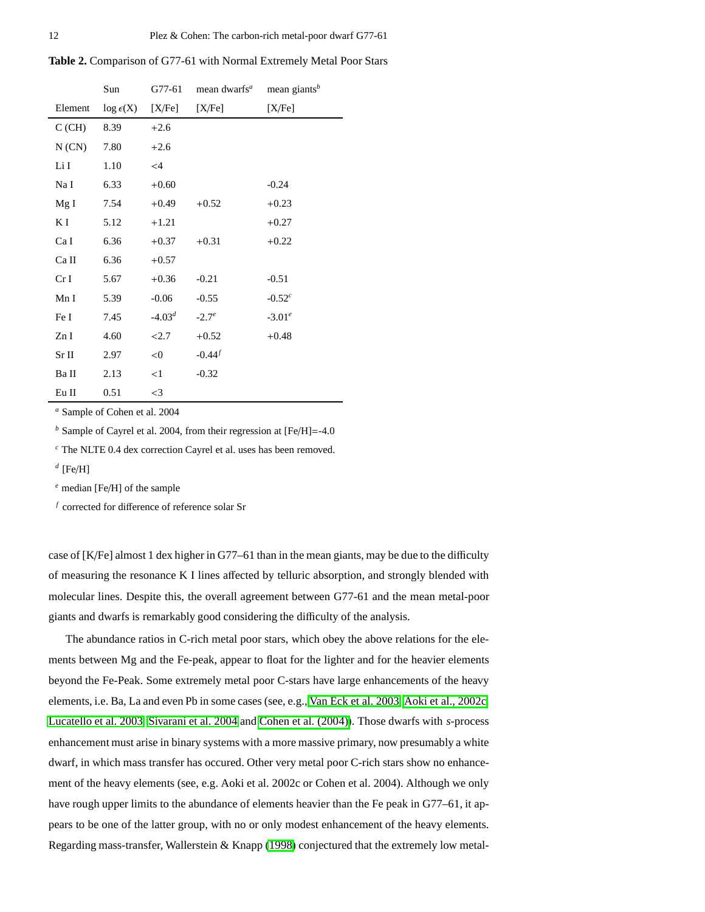<span id="page-11-0"></span>

|  |  |  | Table 2. Comparison of G77-61 with Normal Extremely Metal Poor Stars |  |  |  |
|--|--|--|----------------------------------------------------------------------|--|--|--|
|--|--|--|----------------------------------------------------------------------|--|--|--|

|                 | Sun                | G77-61   | mean dwarfs <sup>a</sup> | mean giants <sup>b</sup> |
|-----------------|--------------------|----------|--------------------------|--------------------------|
| Element         | $\log \epsilon(X)$ | [X/Fe]   | [X/Fe]                   | [X/Fe]                   |
| C(GH)           | 8.39               | $+2.6$   |                          |                          |
| N(CN)           | 7.80               | $+2.6$   |                          |                          |
| Li I            | 1.10               | $\leq$ 4 |                          |                          |
| Na I            | 6.33               | $+0.60$  |                          | $-0.24$                  |
| Mg I            | 7.54               | $+0.49$  | $+0.52$                  | $+0.23$                  |
| K I             | 5.12               | $+1.21$  |                          | $+0.27$                  |
| Ca I            | 6.36               | $+0.37$  | $+0.31$                  | $+0.22$                  |
| Ca II           | 6.36               | $+0.57$  |                          |                          |
| Cr <sub>I</sub> | 5.67               | $+0.36$  | $-0.21$                  | $-0.51$                  |
| Mn I            | 5.39               | $-0.06$  | $-0.55$                  | $-0.52^{c}$              |
| Fe I            | 7.45               | $-4.03d$ | $-2.7^e$                 | $-3.01^e$                |
| Zn I            | 4.60               | 22.7     | $+0.52$                  | $+0.48$                  |
| Sr II           | 2.97               | < 0      | $-0.44^{f}$              |                          |
| Ba II           | 2.13               | <1       | $-0.32$                  |                          |
| Eu II           | 0.51               | $\leq$ 3 |                          |                          |

*<sup>a</sup>* Sample of Cohen et al. 2004

*<sup>b</sup>* Sample of Cayrel et al. 2004, from their regression at [Fe/H]=-4.0

*<sup>c</sup>* The NLTE 0.4 dex correction Cayrel et al. uses has been removed.

*d* [Fe/H]

*<sup>e</sup>* median [Fe/H] of the sample

*f* corrected for difference of reference solar Sr

case of [K/Fe] almost 1 dex higher in G77–61 than in the mean giants, may be due to the difficulty of measuring the resonance K I lines affected by telluric absorption, and strongly blended with molecular lines. Despite this, the overall agreement between G77-61 and the mean metal-poor giants and dwarfs is remarkably good considering the difficulty of the analysis.

The abundance ratios in C-rich metal poor stars, which obey the above relations for the elements between Mg and the Fe-peak, appear to float for the lighter and for the heavier elements beyond the Fe-Peak. Some extremely metal poor C-stars have large enhancements of the heavy elements, i.e. Ba, La and even Pb in some cases (see, e.g., Van [Eck et al. 2003,](#page-16-3) [Aoki et al., 2002c,](#page-14-10) [Lucatello et al. 2003,](#page-15-32) [Sivarani et al. 2004](#page-15-33) and [Cohen et al. \(2004\)\)](#page-15-30). Those dwarfs with *s*-process enhancement must arise in binary systems with a more massive primary, now presumably a white dwarf, in which mass transfer has occured. Other very metal poor C-rich stars show no enhancement of the heavy elements (see, e.g. Aoki et al. 2002c or Cohen et al. 2004). Although we only have rough upper limits to the abundance of elements heavier than the Fe peak in G77–61, it appears to be one of the latter group, with no or only modest enhancement of the heavy elements. Regarding mass-transfer, Wallerstein & Knapp [\(1998\)](#page-16-4) conjectured that the extremely low metal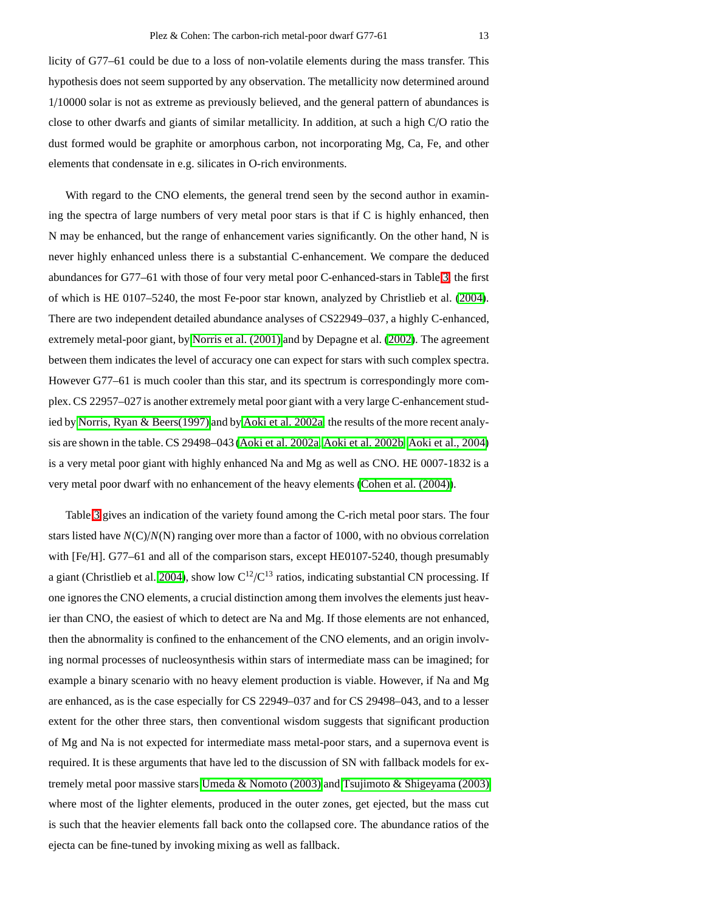licity of G77–61 could be due to a loss of non-volatile elements during the mass transfer. This hypothesis does not seem supported by any observation. The metallicity now determined around 1/10000 solar is not as extreme as previously believed, and the general pattern of abundances is close to other dwarfs and giants of similar metallicity. In addition, at such a high C/O ratio the dust formed would be graphite or amorphous carbon, not incorporating Mg, Ca, Fe, and other elements that condensate in e.g. silicates in O-rich environments.

With regard to the CNO elements, the general trend seen by the second author in examining the spectra of large numbers of very metal poor stars is that if C is highly enhanced, then N may be enhanced, but the range of enhancement varies significantly. On the other hand, N is never highly enhanced unless there is a substantial C-enhancement. We compare the deduced abundances for G77–61 with those of four very metal poor C-enhanced-stars in Table [3,](#page-13-0) the first of which is HE 0107–5240, the most Fe-poor star known, analyzed by Christlieb et al. [\(2004\)](#page-15-29). There are two independent detailed abundance analyses of CS22949–037, a highly C-enhanced, extremely metal-poor giant, by [Norris et al. \(2001\)](#page-15-31) and by Depagne et al. [\(2002\)](#page-15-34). The agreement between them indicates the level of accuracy one can expect for stars with such complex spectra. However G77–61 is much cooler than this star, and its spectrum is correspondingly more complex. CS 22957–027 is another extremely metal poor giant with a very large C-enhancement studied by [Norris, Ryan & Beers\(1997\)](#page-15-35) and by [Aoki et al. 2002a;](#page-14-7) the results of the more recent analysis are shown in the table. CS 29498–043 [\(Aoki et al. 2002a,](#page-14-7) [Aoki et al. 2002b,](#page-14-8) [Aoki et al., 2004\)](#page-14-9) is a very metal poor giant with highly enhanced Na and Mg as well as CNO. HE 0007-1832 is a very metal poor dwarf with no enhancement of the heavy elements [\(Cohen et al. \(2004\)\)](#page-15-30).

Table [3](#page-13-0) gives an indication of the variety found among the C-rich metal poor stars. The four stars listed have *N*(C)/*N*(N) ranging over more than a factor of 1000, with no obvious correlation with [Fe/H]. G77–61 and all of the comparison stars, except HE0107-5240, though presumably a giant (Christlieb et al. [2004\)](#page-15-29), show low  $C^{12}/C^{13}$  ratios, indicating substantial CN processing. If one ignores the CNO elements, a crucial distinction among them involves the elements just heavier than CNO, the easiest of which to detect are Na and Mg. If those elements are not enhanced, then the abnormality is confined to the enhancement of the CNO elements, and an origin involving normal processes of nucleosynthesis within stars of intermediate mass can be imagined; for example a binary scenario with no heavy element production is viable. However, if Na and Mg are enhanced, as is the case especially for CS 22949–037 and for CS 29498–043, and to a lesser extent for the other three stars, then conventional wisdom suggests that significant production of Mg and Na is not expected for intermediate mass metal-poor stars, and a supernova event is required. It is these arguments that have led to the discussion of SN with fallback models for extremely metal poor massive stars [Umeda & Nomoto \(2003\)](#page-16-5) and [Tsujimoto & Shigeyama \(2003\)](#page-16-6) where most of the lighter elements, produced in the outer zones, get ejected, but the mass cut is such that the heavier elements fall back onto the collapsed core. The abundance ratios of the ejecta can be fine-tuned by invoking mixing as well as fallback.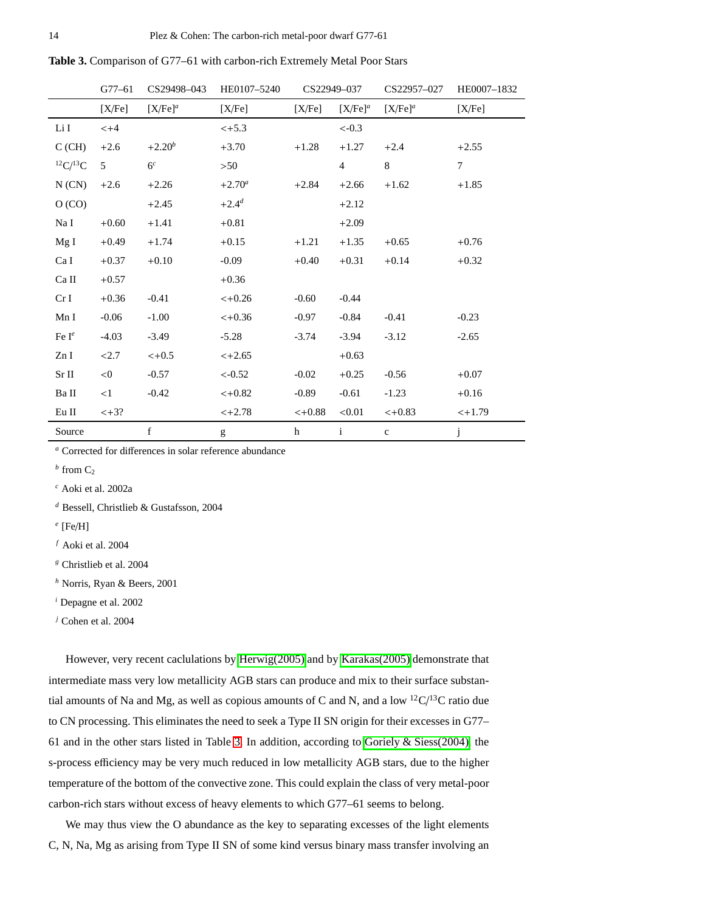<span id="page-13-0"></span>

| <b>Table 3.</b> Comparison of G77–61 with carbon-rich Extremely Metal Poor Stars |  |  |  |  |
|----------------------------------------------------------------------------------|--|--|--|--|
|----------------------------------------------------------------------------------|--|--|--|--|

|                     | $G77 - 61$ | CS29498-043    | HE0107-5240 | CS22949-037 |                | CS22957-027 | HE0007-1832    |
|---------------------|------------|----------------|-------------|-------------|----------------|-------------|----------------|
|                     | [X/Fe]     | $[X/Fe]^a$     | [X/Fe]      | [X/Fe]      | $[X/Fe]^a$     | $[X/Fe]^a$  | [X/Fe]         |
| Li I                | $< +4$     |                | $< +5.3$    |             | $<-0.3$        |             |                |
| C(GH)               | $+2.6$     | $+2.20^{b}$    | $+3.70$     | $+1.28$     | $+1.27$        | $+2.4$      | $+2.55$        |
| ${}^{12}C/{}^{13}C$ | 5          | 6 <sup>c</sup> | >50         |             | $\overline{4}$ | 8           | $\overline{7}$ |
| N(CN)               | $+2.6$     | $+2.26$        | $+2.70^a$   | $+2.84$     | $+2.66$        | $+1.62$     | $+1.85$        |
| O (CO)              |            | $+2.45$        | $+2.4^{d}$  |             | $+2.12$        |             |                |
| Na I                | $+0.60$    | $+1.41$        | $+0.81$     |             | $+2.09$        |             |                |
| MgI                 | $+0.49$    | $+1.74$        | $+0.15$     | $+1.21$     | $+1.35$        | $+0.65$     | $+0.76$        |
| Ca I                | $+0.37$    | $+0.10$        | $-0.09$     | $+0.40$     | $+0.31$        | $+0.14$     | $+0.32$        |
| Ca II               | $+0.57$    |                | $+0.36$     |             |                |             |                |
| CrI                 | $+0.36$    | $-0.41$        | $< +0.26$   | $-0.60$     | $-0.44$        |             |                |
| Mn I                | $-0.06$    | $-1.00$        | $< +0.36$   | $-0.97$     | $-0.84$        | $-0.41$     | $-0.23$        |
| Fe $I^e$            | $-4.03$    | $-3.49$        | $-5.28$     | $-3.74$     | $-3.94$        | $-3.12$     | $-2.65$        |
| Zn I                | < 2.7      | $< +0.5$       | $< +2.65$   |             | $+0.63$        |             |                |
| $\rm Sr~II$         | <0         | $-0.57$        | $<-0.52$    | $-0.02$     | $+0.25$        | $-0.56$     | $+0.07$        |
| Ba II               | <1         | $-0.42$        | $< +0.82$   | $-0.89$     | $-0.61$        | $-1.23$     | $+0.16$        |
| Eu II               | $< +3?$    |                | $< +2.78$   | $< +0.88$   | < 0.01         | $< +0.83$   | $< +1.79$      |
| Source              |            | $\mathbf f$    | g           | h           | $\mathbf{i}$   | $\mathbf c$ | j              |

*<sup>a</sup>* Corrected for differences in solar reference abundance

 *from*  $C_2$ 

*<sup>c</sup>* Aoki et al. 2002a

*<sup>d</sup>* Bessell, Christlieb & Gustafsson, 2004

*e* [Fe/H]

*<sup>f</sup>* Aoki et al. 2004

*<sup>g</sup>* Christlieb et al. 2004

*<sup>h</sup>* Norris, Ryan & Beers, 2001

*<sup>i</sup>* Depagne et al. 2002

*<sup>j</sup>* Cohen et al. 2004

However, very recent caclulations by [Herwig\(2005\)](#page-15-36) and by [Karakas\(2005\)](#page-15-37) demonstrate that intermediate mass very low metallicity AGB stars can produce and mix to their surface substantial amounts of Na and Mg, as well as copious amounts of C and N, and a low  ${}^{12}C/{}^{13}C$  ratio due to CN processing. This eliminates the need to seek a Type II SN origin for their excesses in G77– 61 and in the other stars listed in Table [3.](#page-13-0) In addition, according to [Goriely & Siess\(2004\),](#page-15-38) the s-process efficiency may be very much reduced in low metallicity AGB stars, due to the higher temperature of the bottom of the convective zone. This could explain the class of very metal-poor carbon-rich stars without excess of heavy elements to which G77–61 seems to belong.

We may thus view the O abundance as the key to separating excesses of the light elements C, N, Na, Mg as arising from Type II SN of some kind versus binary mass transfer involving an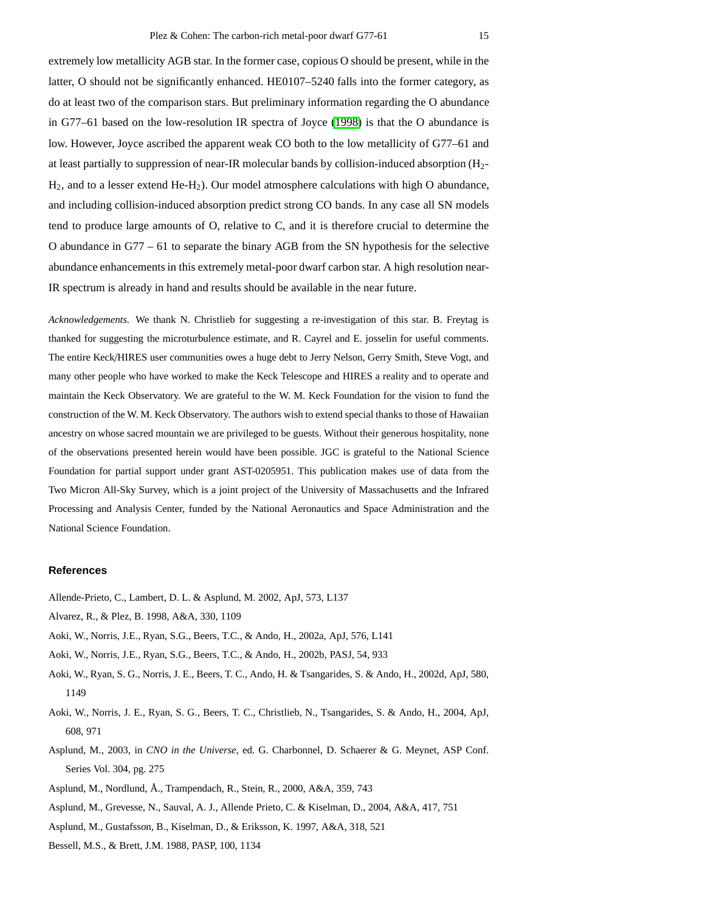extremely low metallicity AGB star. In the former case, copious O should be present, while in the latter, O should not be significantly enhanced. HE0107–5240 falls into the former category, as do at least two of the comparison stars. But preliminary information regarding the O abundance in G77–61 based on the low-resolution IR spectra of Joyce [\(1998\)](#page-15-27) is that the O abundance is low. However, Joyce ascribed the apparent weak CO both to the low metallicity of G77–61 and at least partially to suppression of near-IR molecular bands by collision-induced absorption (H2- H2, and to a lesser extend He-H2). Our model atmosphere calculations with high O abundance, and including collision-induced absorption predict strong CO bands. In any case all SN models tend to produce large amounts of O, relative to C, and it is therefore crucial to determine the O abundance in G77 – 61 to separate the binary AGB from the SN hypothesis for the selective abundance enhancements in this extremely metal-poor dwarf carbon star. A high resolution near-IR spectrum is already in hand and results should be available in the near future.

*Acknowledgements.* We thank N. Christlieb for suggesting a re-investigation of this star. B. Freytag is thanked for suggesting the microturbulence estimate, and R. Cayrel and E. josselin for useful comments. The entire Keck/HIRES user communities owes a huge debt to Jerry Nelson, Gerry Smith, Steve Vogt, and many other people who have worked to make the Keck Telescope and HIRES a reality and to operate and maintain the Keck Observatory. We are grateful to the W. M. Keck Foundation for the vision to fund the construction of the W. M. Keck Observatory. The authors wish to extend special thanks to those of Hawaiian ancestry on whose sacred mountain we are privileged to be guests. Without their generous hospitality, none of the observations presented herein would have been possible. JGC is grateful to the National Science Foundation for partial support under grant AST-0205951. This publication makes use of data from the Two Micron All-Sky Survey, which is a joint project of the University of Massachusetts and the Infrared Processing and Analysis Center, funded by the National Aeronautics and Space Administration and the National Science Foundation.

#### <span id="page-14-3"></span>**References**

- <span id="page-14-2"></span>Allende-Prieto, C., Lambert, D. L. & Asplund, M. 2002, ApJ, 573, L137
- <span id="page-14-7"></span>Alvarez, R., & Plez, B. 1998, A&A, 330, 1109
- <span id="page-14-8"></span>Aoki, W., Norris, J.E., Ryan, S.G., Beers, T.C., & Ando, H., 2002a, ApJ, 576, L141
- <span id="page-14-10"></span>Aoki, W., Norris, J.E., Ryan, S.G., Beers, T.C., & Ando, H., 2002b, PASJ, 54, 933
- <span id="page-14-9"></span>Aoki, W., Ryan, S. G., Norris, J. E., Beers, T. C., Ando, H. & Tsangarides, S. & Ando, H., 2002d, ApJ, 580, 1149
- <span id="page-14-4"></span>Aoki, W., Norris, J. E., Ryan, S. G., Beers, T. C., Christlieb, N., Tsangarides, S. & Ando, H., 2004, ApJ, 608, 971
- <span id="page-14-6"></span>Asplund, M., 2003, in *CNO in the Universe*, ed. G. Charbonnel, D. Schaerer & G. Meynet, ASP Conf. Series Vol. 304, pg. 275
- <span id="page-14-5"></span>Asplund, M., Nordlund, Å., Trampendach, R., Stein, R., 2000, A&A, 359, 743
- <span id="page-14-1"></span>Asplund, M., Grevesse, N., Sauval, A. J., Allende Prieto, C. & Kiselman, D., 2004, A&A, 417, 751
- <span id="page-14-0"></span>Asplund, M., Gustafsson, B., Kiselman, D., & Eriksson, K. 1997, A&A, 318, 521
- Bessell, M.S., & Brett, J.M. 1988, PASP, 100, 1134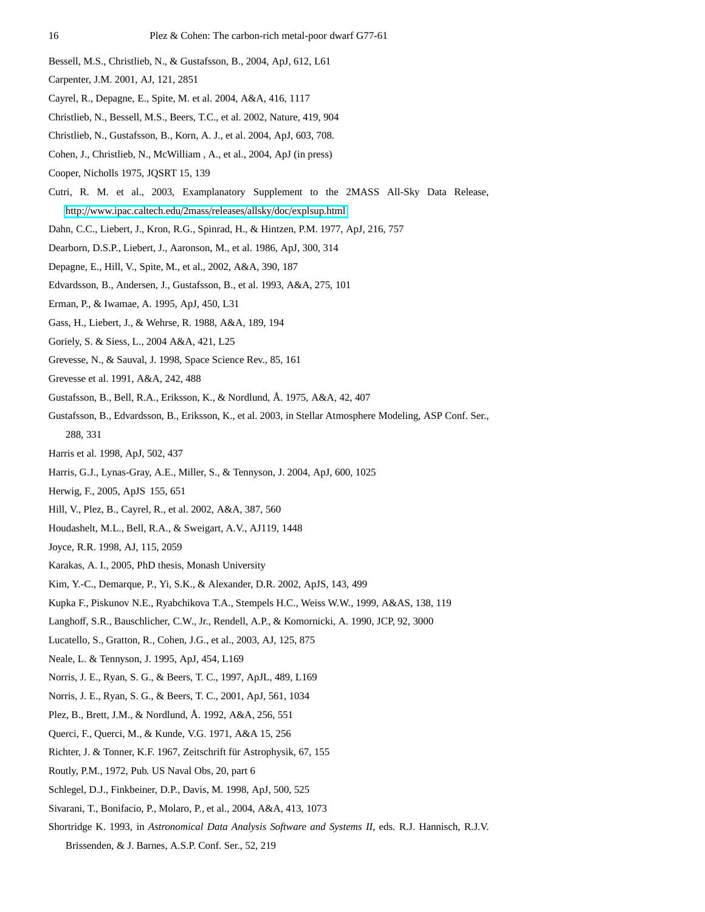- <span id="page-15-9"></span>Bessell, M.S., Christlieb, N., & Gustafsson, B., 2004, ApJ, 612, L61
- <span id="page-15-18"></span>Carpenter, J.M. 2001, AJ, 121, 2851
- <span id="page-15-29"></span><span id="page-15-4"></span>Cayrel, R., Depagne, E., Spite, M. et al. 2004, A&A, 416, 1117
- <span id="page-15-30"></span>Christlieb, N., Bessell, M.S., Beers, T.C., et al. 2002, Nature, 419, 904
- Christlieb, N., Gustafsson, B., Korn, A. J., et al. 2004, ApJ, 603, 708.
- <span id="page-15-21"></span><span id="page-15-8"></span>Cohen, J., Christlieb, N., McWilliam , A., et al., 2004, ApJ (in press)
- Cooper, Nicholls 1975, JQSRT 15, 139
- <span id="page-15-0"></span>Cutri, R. M. et al., 2003, Examplanatory Supplement to the 2MASS All-Sky Data Release,
	- http://[www.ipac.caltech.edu](http://www.ipac.caltech.edu/2mass/releases/allsky/doc/explsup.html)/2mass/releases/allsky/doc/explsup.html
- <span id="page-15-34"></span><span id="page-15-2"></span>Dahn, C.C., Liebert, J., Kron, R.G., Spinrad, H., & Hintzen, P.M. 1977, ApJ, 216, 757
- <span id="page-15-14"></span>Dearborn, D.S.P., Liebert, J., Aaronson, M., et al. 1986, ApJ, 300, 314
- Depagne, E., Hill, V., Spite, M., et al., 2002, A&A, 390, 187
- <span id="page-15-23"></span>Edvardsson, B., Andersen, J., Gustafsson, B., et al. 1993, A&A, 275, 101
- <span id="page-15-3"></span>Erman, P., & Iwamae, A. 1995, ApJ, 450, L31
- <span id="page-15-38"></span>Gass, H., Liebert, J., & Wehrse, R. 1988, A&A, 189, 194
- <span id="page-15-28"></span>Goriely, S. & Siess, L., 2004 A&A, 421, L25
- <span id="page-15-22"></span>Grevesse, N., & Sauval, J. 1998, Space Science Rev., 85, 161
- <span id="page-15-12"></span>Grevesse et al. 1991, A&A, 242, 488
- <span id="page-15-15"></span>Gustafsson, B., Bell, R.A., Eriksson, K., & Nordlund, Å. 1975, A&A, 42, 407
- <span id="page-15-6"></span>Gustafsson, B., Edvardsson, B., Eriksson, K., et al. 2003, in Stellar Atmosphere Modeling, ASP Conf. Ser., 288, 331
- <span id="page-15-25"></span>Harris et al. 1998, ApJ, 502, 437
- <span id="page-15-36"></span>Harris, G.J., Lynas-Gray, A.E., Miller, S., & Tennyson, J. 2004, ApJ, 600, 1025
- <span id="page-15-17"></span>Herwig, F., 2005, ApJS 155, 651
- <span id="page-15-27"></span><span id="page-15-10"></span>Hill, V., Plez, B., Cayrel, R., et al. 2002, A&A, 387, 560
- Houdashelt, M.L., Bell, R.A., & Sweigart, A.V., AJ119, 1448
- <span id="page-15-37"></span><span id="page-15-11"></span>Joyce, R.R. 1998, AJ, 115, 2059
- Karakas, A. I., 2005, PhD thesis, Monash University
- <span id="page-15-16"></span>Kim, Y.-C., Demarque, P., Yi, S.K., & Alexander, D.R. 2002, ApJS, 143, 499
- <span id="page-15-24"></span>Kupka F., Piskunov N.E., Ryabchikova T.A., Stempels H.C., Weiss W.W., 1999, A&AS, 138, 119
- <span id="page-15-32"></span>Langhoff, S.R., Bauschlicher, C.W., Jr., Rendell, A.P., & Komornicki, A. 1990, JCP, 92, 3000
- <span id="page-15-35"></span><span id="page-15-26"></span>Lucatello, S., Gratton, R., Cohen, J.G., et al., 2003, AJ, 125, 875
- Neale, L. & Tennyson, J. 1995, ApJ, 454, L169
- <span id="page-15-31"></span>Norris, J. E., Ryan, S. G., & Beers, T. C., 1997, ApJL, 489, L169
- <span id="page-15-20"></span><span id="page-15-13"></span>Norris, J. E., Ryan, S. G., & Beers, T. C., 2001, ApJ, 561, 1034
- Plez, B., Brett, J.M., & Nordlund, Å. 1992, A&A, 256, 551
- <span id="page-15-19"></span>Querci, F., Querci, M., & Kunde, V.G. 1971, A&A 15, 256
- <span id="page-15-1"></span>Richter, J. & Tonner, K.F. 1967, Zeitschrift für Astrophysik, 67, 155
- <span id="page-15-7"></span>Routly, P.M., 1972, Pub. US Naval Obs, 20, part 6
- <span id="page-15-33"></span>Schlegel, D.J., Finkbeiner, D.P., Davis, M. 1998, ApJ, 500, 525
- <span id="page-15-5"></span>Sivarani, T., Bonifacio, P., Molaro, P., et al., 2004, A&A, 413, 1073
- Shortridge K. 1993, in *Astronomical Data Analysis Software and Systems II*, eds. R.J. Hannisch, R.J.V.
	- Brissenden, & J. Barnes, A.S.P. Conf. Ser., 52, 219